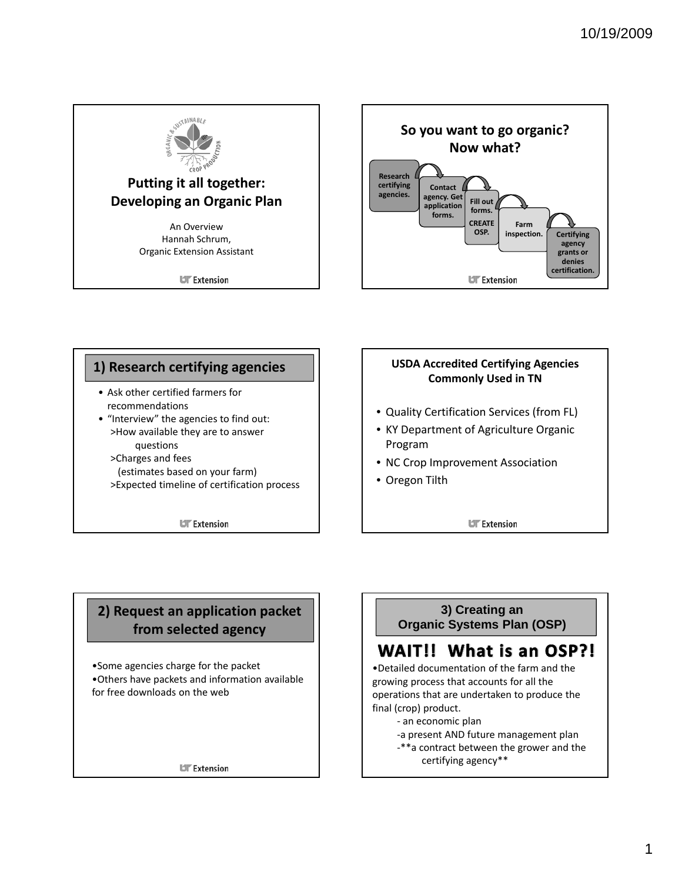

**UT** Extension



#### • Ask other certified farmers for recommendations • "Interview" the agencies to find out: >How available they are to answer **1) Research certifying agencies** questions >Charges and fees (estimates based on your farm) >Expected timeline of certification process

**UF** Extension

#### **USDA Accredited Certifying Agencies Commonly Used in TN**

- Quality Certification Services (from FL)
- KY Department of Agriculture Organic Program
- NC Crop Improvement Association
- Oregon Tilth

**UIT** Extension

# **2) Request an application packet from selected agency**

•Some agencies charge for the packet •Others have packets and information available for free downloads on the web

**UT** Extension

### **3) Creating an Organic Systems Plan (OSP)**

# WAIT!! What is an OSP?!

•Detailed documentation of the farm and the growing process that accounts for all the operations that are undertaken to produce the final (crop) product.

- ‐ an economic plan
- ‐a present AND future management plan
- ‐\*\*a contract between the grower and the certifying agency\*\*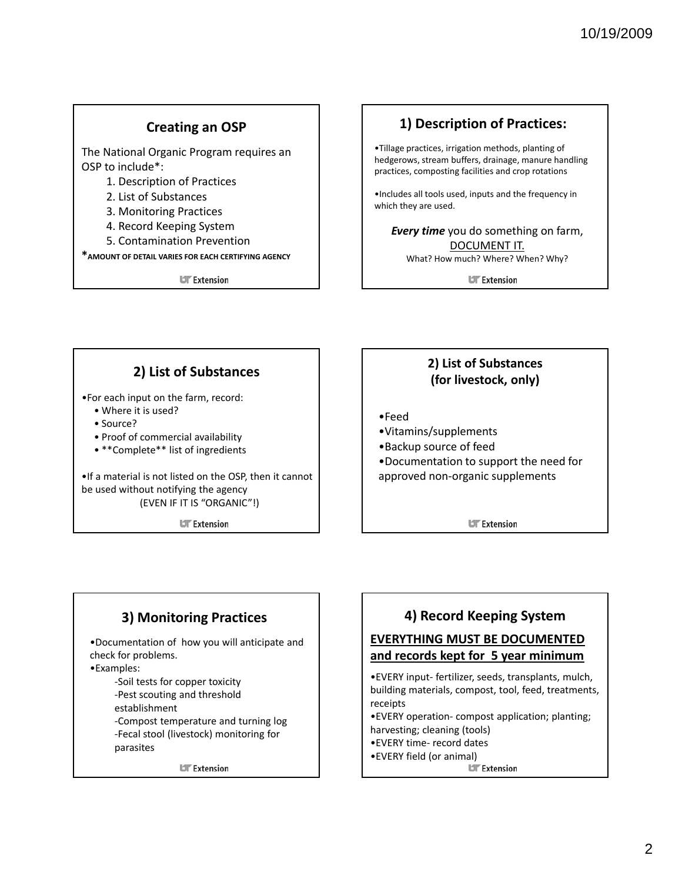### **Creating an OSP**

The National Organic Program requires an OSP to include\*:

- 1. Description of Practices
- 2. List of Substances
- 3. Monitoring Practices
- 4. Record Keeping System
- 5. Contamination Prevention

**\*AMOUNT OF DETAIL VARIES FOR EACH CERTIFYING AGENCY**

**UT** Extension

#### **1) Description of Practices:**

•Tillage practices, irrigation methods, planting of hedgerows, stream buffers, drainage, manure handling practices, composting facilities and crop rotations

•Includes all tools used, inputs and the frequency in which they are used.

*Every time* you do something on farm, DOCUMENT IT. What? How much? Where? When? Why?

**UF** Extension

### **2) List of Substances**

•For each input on the farm, record:

- Where it is used?
- Source?
- Proof of commercial availability
- \*\*Complete\*\* list of ingredients

•If a material is not listed on the OSP, then it cannot be used without notifying the agency (EVEN IF IT IS "ORGANIC"!)

**UF** Extension

### **2) List of Substances (for livestock, only)**

- •Feed
- •Vitamins/supplements
- •Backup source of feed
- •Documentation to support the need for approved non‐organic supplements

**UIT** Extension

# **3) Monitoring Practices**

•Documentation of how you will anticipate and check for problems.

•Examples:

‐Soil tests for copper toxicity ‐Pest scouting and threshold

- establishment
- ‐Compost temperature and turning log

‐Fecal stool (livestock) monitoring for parasites

**UT** Extension

### **4) Record Keeping System**

#### **EVERYTHING MUST BE DOCUMENTED and records kept for 5 year minimum**

•EVERY input‐ fertilizer, seeds, transplants, mulch, building materials, compost, tool, feed, treatments, receipts

•EVERY operation‐ compost application; planting; harvesting; cleaning (tools)

- •EVERY time‐ record dates
- •EVERY field (or animal)

**UIT** Extension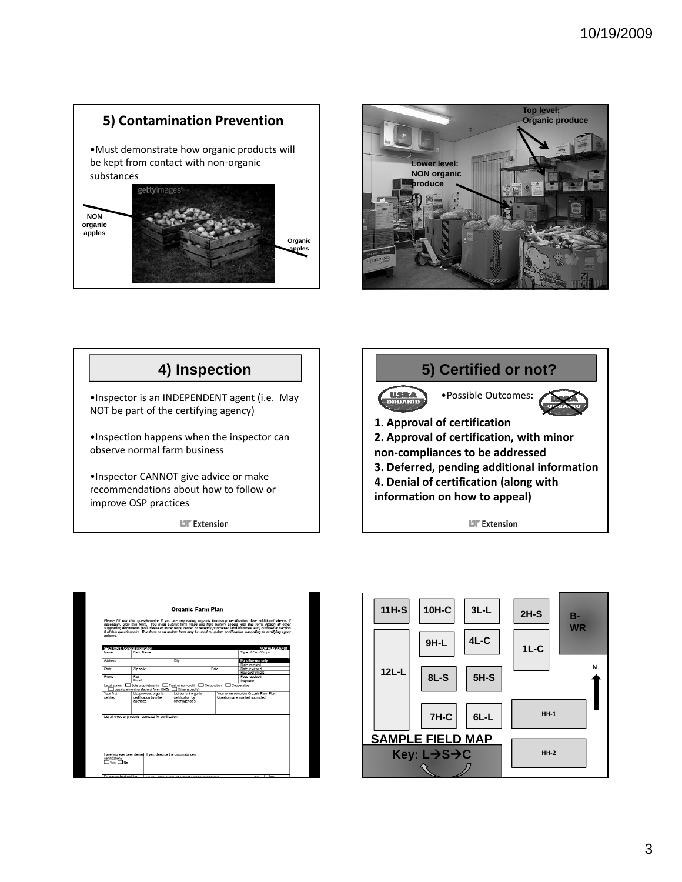# **5) Contamination Prevention** •Must demonstrate how organic products will be kept from contact with non‐organic substances gettyimage **NON organic apples Organic apples**







|                                    |                                                                                                                                            | <b>Organic Farm Plan</b>                                    |      |                                                                                                                                                                                                                                                                                                                                                                                                                                                                                             |
|------------------------------------|--------------------------------------------------------------------------------------------------------------------------------------------|-------------------------------------------------------------|------|---------------------------------------------------------------------------------------------------------------------------------------------------------------------------------------------------------------------------------------------------------------------------------------------------------------------------------------------------------------------------------------------------------------------------------------------------------------------------------------------|
| policies.                          |                                                                                                                                            |                                                             |      | Please fill out this questionnaire if you are requesting organic farm/crop certification. Use additional sheets if<br>necessary. Sign this form. You must submit farm maps and field history sheets with this form. Attach all other<br>supporting documents (soil, assue or water tests, rented or recently purchased land histories, etc.) outlined in section<br>9 of this questionnaire. This form or an update form may be used to update certification, according to certifying agent |
|                                    | <b>SECTION 1: General Information</b>                                                                                                      |                                                             |      | <b>NOP Rule 205.401</b>                                                                                                                                                                                                                                                                                                                                                                                                                                                                     |
| Name                               | Farm Name                                                                                                                                  |                                                             |      |                                                                                                                                                                                                                                                                                                                                                                                                                                                                                             |
| <b>Address</b>                     |                                                                                                                                            | City                                                        |      | For office use only<br>Date received                                                                                                                                                                                                                                                                                                                                                                                                                                                        |
| State                              | Zip code                                                                                                                                   |                                                             | Date | Date reviewed<br>Reviewer initials                                                                                                                                                                                                                                                                                                                                                                                                                                                          |
| Phone                              | Fax<br><b>Fmail</b>                                                                                                                        |                                                             |      | Fees received<br>Inspector                                                                                                                                                                                                                                                                                                                                                                                                                                                                  |
|                                    | Legal status. 3 Sole proprietorship Thust or non-profit Cooperation Cooperative<br>Legal partnership (federal form 1065)   Other (specify) |                                                             |      |                                                                                                                                                                                                                                                                                                                                                                                                                                                                                             |
| Year first<br>certified            | List previous organic<br>certification by other<br>agencies                                                                                | List current organic<br>certification by<br>other agencies. |      | Year when complete Organic Farm Plan<br>Questionnaire was last submitted                                                                                                                                                                                                                                                                                                                                                                                                                    |
|                                    | List all crops or products requested for certification.                                                                                    |                                                             |      |                                                                                                                                                                                                                                                                                                                                                                                                                                                                                             |
| certification?<br>TVes <b>T</b> No | Have you ever been denied if yes, describe the circumstances:                                                                              |                                                             |      |                                                                                                                                                                                                                                                                                                                                                                                                                                                                                             |